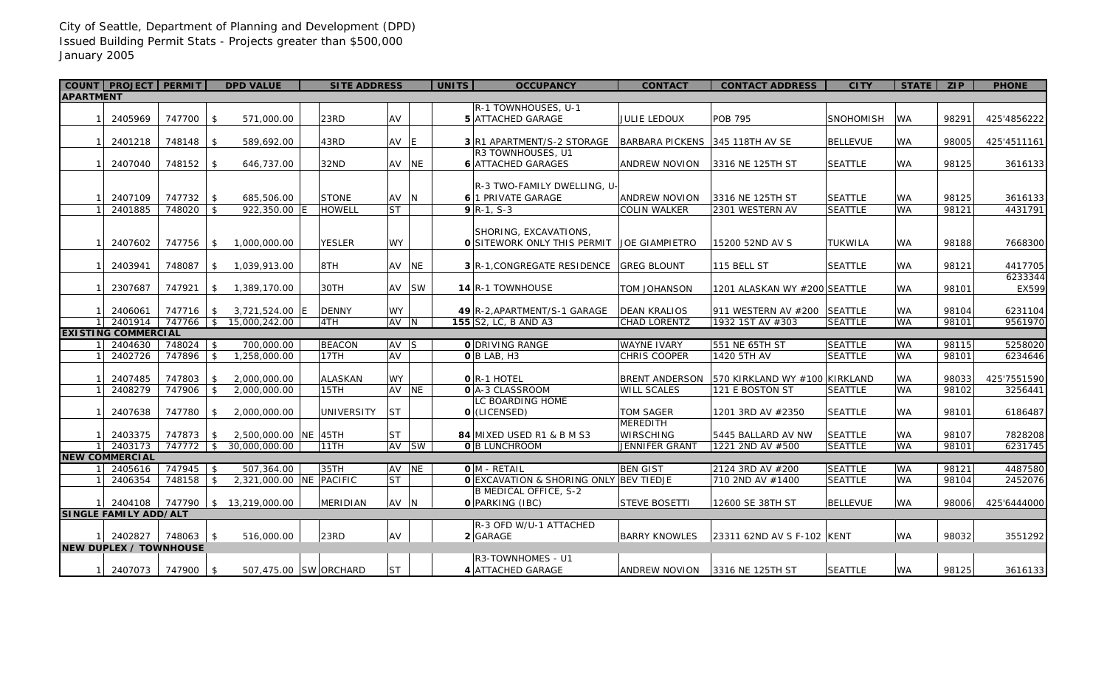## City of Seattle, Department of Planning and Development (DPD) Issued Building Permit Stats - Projects greater than \$500,000 January 2005

|                               | COUNT   PROJECT   PERMIT   |                        | <b>DPD VALUE</b>                |              |  | <b>SITE ADDRESS</b>     |                   |       | <b>UNITS</b> | <b>OCCUPANCY</b>                                     | <b>CONTACT</b>                             | <b>CONTACT ADDRESS</b>        | <b>CITY</b>     | <b>STATE</b>           | <b>ZIP</b>     | <b>PHONE</b> |
|-------------------------------|----------------------------|------------------------|---------------------------------|--------------|--|-------------------------|-------------------|-------|--------------|------------------------------------------------------|--------------------------------------------|-------------------------------|-----------------|------------------------|----------------|--------------|
| <b>APARTMENT</b>              |                            |                        |                                 |              |  |                         |                   |       |              |                                                      |                                            |                               |                 |                        |                |              |
|                               |                            |                        |                                 |              |  |                         |                   |       |              | R-1 TOWNHOUSES, U-1                                  |                                            |                               |                 |                        |                |              |
| $\vert$ 1                     | 2405969                    | 747700                 | $\sqrt{5}$                      | 571,000.00   |  | 23RD                    | AV                |       |              | <b>5 ATTACHED GARAGE</b>                             | <b>JULIE LEDOUX</b>                        | <b>POB 795</b>                | SNOHOMISH       | WA                     | 98291          | 425'4856222  |
|                               |                            |                        |                                 |              |  |                         |                   |       |              |                                                      |                                            |                               |                 |                        |                |              |
|                               | 1 2401218                  | 748148 \$              |                                 | 589,692.00   |  | 43RD                    | AV E              |       |              | <b>3 R1 APARTMENT/S-2 STORAGE</b>                    | BARBARA PICKENS 345 118TH AV SE            |                               | <b>BELLEVUE</b> | WA                     | 98005          | 425'4511161  |
|                               |                            |                        |                                 |              |  |                         |                   |       |              | R3 TOWNHOUSES, U1                                    |                                            |                               |                 |                        |                |              |
| 11                            | 2407040                    | $748152$ \$            |                                 | 646,737.00   |  | 32ND                    |                   | AV NE |              | <b>6</b> ATTACHED GARAGES                            | <b>ANDREW NOVION</b>                       | 3316 NE 125TH ST              | <b>SEATTLE</b>  | WA                     | 98125          | 3616133      |
|                               |                            |                        |                                 |              |  |                         |                   |       |              |                                                      |                                            |                               |                 |                        |                |              |
|                               |                            |                        |                                 |              |  |                         |                   |       |              | R-3 TWO-FAMILY DWELLING, U-                          |                                            |                               |                 |                        |                |              |
|                               | 2407109                    | $747732$ \$            |                                 | 685,506.00   |  | <b>STONE</b>            | AV N              |       |              | 6 1 PRIVATE GARAGE                                   | <b>ANDREW NOVION</b>                       | 3316 NE 125TH ST              | <b>SEATTLE</b>  | WA                     | 98125          | 3616133      |
|                               | 2401885                    | 748020                 | $\sqrt{2}$                      | 922,350.00 E |  | <b>HOWELL</b>           | <b>ST</b>         |       |              | $9R-1, S-3$                                          | <b>COLIN WALKER</b>                        | 2301 WESTERN AV               | <b>SEATTLE</b>  | WA                     | 98121          | 4431791      |
|                               |                            |                        |                                 |              |  |                         |                   |       |              |                                                      |                                            |                               |                 |                        |                |              |
|                               |                            |                        |                                 |              |  |                         |                   |       |              | SHORING, EXCAVATIONS,                                |                                            |                               |                 |                        |                |              |
| $\vert$ 1                     | 2407602                    | 747756                 | 1,000,000.00<br>\$              |              |  | <b>YESLER</b>           | <b>WY</b>         |       |              | O SITEWORK ONLY THIS PERMIT JOE GIAMPIETRO           |                                            | 15200 52ND AV S               | <b>TUKWILA</b>  | WA                     | 98188          | 7668300      |
|                               |                            |                        |                                 |              |  |                         |                   |       |              |                                                      |                                            |                               |                 |                        |                |              |
| $\vert$ 1                     | 2403941                    | 748087                 | 1,039,913.00<br>\$              |              |  | 8TH                     | AV NE             |       |              | <b>3 R-1, CONGREGATE RESIDENCE</b>                   | <b>GREG BLOUNT</b>                         | 115 BELL ST                   | <b>SEATTLE</b>  | <b>WA</b>              | 98121          | 4417705      |
|                               |                            |                        |                                 |              |  |                         |                   |       |              |                                                      |                                            |                               |                 |                        |                | 6233344      |
| $\mathbf{1}$                  | 2307687                    | 747921                 | 1,389,170.00<br>\$              |              |  | 30TH                    |                   | AV SW |              | <b>14 R-1 TOWNHOUSE</b>                              | <b>TOM JOHANSON</b>                        | 1201 ALASKAN WY #200 SEATTLE  |                 | WA                     | 98101          | EX599        |
|                               |                            |                        |                                 |              |  |                         |                   |       |              |                                                      |                                            |                               |                 |                        |                |              |
|                               |                            |                        |                                 |              |  |                         |                   |       |              |                                                      |                                            |                               |                 |                        |                |              |
| 11                            | 2406061<br>1 2401914       | 747716 \$<br>747766 \$ | 3,721,524.00 E<br>15,000,242.00 |              |  | <b>DENNY</b><br>4TH     | <b>WY</b><br>AV N |       |              | 49 R-2, APARTMENT/S-1 GARAGE<br>155 S2, LC, B AND A3 | <b>DEAN KRALIOS</b><br><b>CHAD LORENTZ</b> | 911 WESTERN AV #200 SEATTLE   | <b>SEATTLE</b>  | <b>WA</b><br><b>WA</b> | 98104<br>98101 | 6231104      |
|                               |                            |                        |                                 |              |  |                         |                   |       |              |                                                      |                                            | 1932 1ST AV #303              |                 |                        |                | 9561970      |
|                               | <b>EXISTING COMMERCIAL</b> |                        |                                 |              |  |                         |                   |       |              |                                                      |                                            |                               |                 |                        |                |              |
|                               | 2404630                    | 748024 \$              |                                 | 700,000.00   |  | <b>BEACON</b>           | AV S              |       |              | O DRIVING RANGE                                      | <b>WAYNE IVARY</b>                         | 551 NE 65TH ST                | <b>SEATTLE</b>  | <b>WA</b>              | 98115          | 5258020      |
|                               | 2402726                    | 747896                 | 1,258,000.00<br>\$              |              |  | 17TH                    | AV                |       |              | $O B$ LAB, H <sub>3</sub>                            | CHRIS COOPER                               | 1420 5TH AV                   | <b>SEATTLE</b>  | <b>WA</b>              | 98101          | 6234646      |
|                               |                            |                        |                                 |              |  |                         |                   |       |              |                                                      |                                            |                               |                 |                        |                |              |
| $\mathbf{1}$                  | 2407485                    | 747803                 | 2,000,000.00<br>\$              |              |  | <b>ALASKAN</b>          | <b>WY</b>         |       |              | O R-1 HOTEL                                          | BRENT ANDERSON                             | 570 KIRKLAND WY #100 KIRKLAND |                 | WA                     | 98033          | 425'7551590  |
| $\mathbf{1}$                  | 2408279                    | 747906                 | \$<br>2,000,000.00              |              |  | 15TH                    | AV NE             |       |              | O A-3 CLASSROOM                                      | <b>WILL SCALES</b>                         | 121 E BOSTON ST               | <b>SEATTLE</b>  | <b>WA</b>              | 98102          | 3256441      |
|                               |                            |                        |                                 |              |  |                         |                   |       |              | LC BOARDING HOME                                     |                                            |                               |                 |                        |                |              |
| $\vert$ 1                     | 2407638                    | 747780                 | 2,000,000.00<br>\$              |              |  | <b>UNIVERSITY</b>       | <b>ST</b>         |       |              | $O$ (LICENSED)                                       | <b>TOM SAGER</b>                           | 1201 3RD AV #2350             | <b>SEATTLE</b>  | WA                     | 98101          | 6186487      |
|                               |                            |                        |                                 |              |  |                         |                   |       |              |                                                      | <b>MEREDITH</b>                            |                               |                 |                        |                |              |
| $\mathbf{1}$                  | 2403375                    | 747873                 | 2,500,000.00 NE 45TH<br>\$      |              |  |                         | <b>ST</b>         |       |              | 84 MIXED USED R1 & B M S3                            | <b>WIRSCHING</b>                           | 5445 BALLARD AV NW            | <b>SEATTLE</b>  | WA                     | 98107          | 7828208      |
|                               | 1 2403173                  | 747772 \$              | 30,000,000.00                   |              |  | 11TH                    |                   | AV SW |              | O B LUNCHROOM                                        | <b>JENNIFER GRANT</b>                      | 1221 2ND AV #500              | <b>SEATTLE</b>  | <b>WA</b>              | 98101          | 6231745      |
|                               | <b>NEW COMMERCIAL</b>      |                        |                                 |              |  |                         |                   |       |              |                                                      |                                            |                               |                 |                        |                |              |
|                               | 2405616                    | 747945                 | -\$                             | 507,364.00   |  | 35TH                    | AV NE             |       |              | $O M$ - RETAIL                                       | <b>BEN GIST</b>                            | 2124 3RD AV #200              | <b>SEATTLE</b>  | <b>WA</b>              | 98121          | 4487580      |
|                               | 2406354                    | 748158                 | $\mathcal{S}$                   |              |  | 2.321.000.00 NE PACIFIC | <b>ST</b>         |       |              | O EXCAVATION & SHORING ONLY BEV TIEDJE               |                                            | 710 2ND AV #1400              | <b>SEATTLE</b>  | <b>WA</b>              | 98104          | 2452076      |
|                               |                            |                        |                                 |              |  |                         |                   |       |              | B MEDICAL OFFICE, S-2                                |                                            |                               |                 |                        |                |              |
|                               | 1 2404108                  |                        | 747790 \$ 13,219,000.00         |              |  | <b>MERIDIAN</b>         | AV N              |       |              | O PARKING (IBC)                                      | <b>STEVE BOSETTI</b>                       | 12600 SE 38TH ST              | <b>BELLEVUE</b> | WA                     | 98006          | 425'6444000  |
| SINGLE FAMILY ADD/ALT         |                            |                        |                                 |              |  |                         |                   |       |              |                                                      |                                            |                               |                 |                        |                |              |
|                               |                            |                        |                                 |              |  |                         |                   |       |              | R-3 OFD W/U-1 ATTACHED                               |                                            |                               |                 |                        |                |              |
|                               | 2402827                    | 748063                 | $\vert$ \$                      | 516,000.00   |  | 23RD                    | AV                |       |              | 2 GARAGE                                             | <b>BARRY KNOWLES</b>                       | 23311 62ND AV S F-102 KENT    |                 | WA                     | 98032          | 3551292      |
| <b>NEW DUPLEX / TOWNHOUSE</b> |                            |                        |                                 |              |  |                         |                   |       |              |                                                      |                                            |                               |                 |                        |                |              |
|                               |                            |                        |                                 |              |  |                         |                   |       |              | R3-TOWNHOMES - U1                                    |                                            |                               |                 |                        |                |              |
|                               | 1 2407073                  | 747900                 | - \$                            |              |  | 507,475.00 SW ORCHARD   | lst.              |       |              | 4 ATTACHED GARAGE                                    | <b>ANDREW NOVION</b>                       | 3316 NE 125TH ST              | <b>SEATTLE</b>  | WA.                    | 98125          | 3616133      |